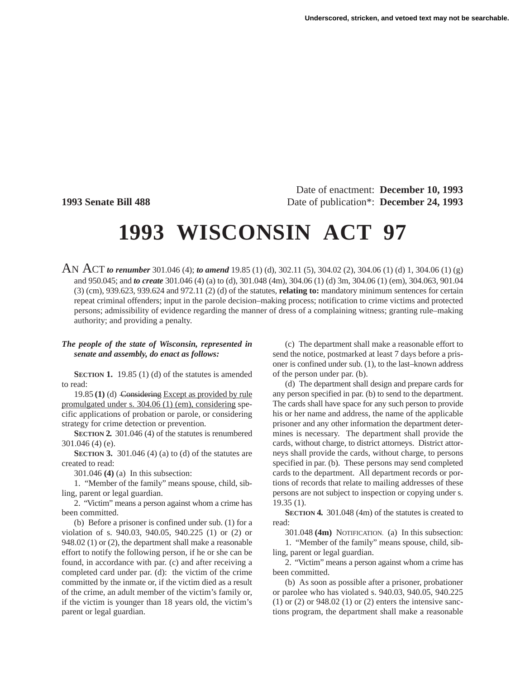Date of enactment: **December 10, 1993 1993 Senate Bill 488** Date of publication\*: **December 24, 1993**

# **1993 WISCONSIN ACT 97**

AN ACT *to renumber* 301.046 (4); *to amend* 19.85 (1) (d), 302.11 (5), 304.02 (2), 304.06 (1) (d) 1, 304.06 (1) (g) and 950.045; and *to create* 301.046 (4) (a) to (d), 301.048 (4m), 304.06 (1) (d) 3m, 304.06 (1) (em), 304.063, 901.04 (3) (cm), 939.623, 939.624 and 972.11 (2) (d) of the statutes, **relating to:** mandatory minimum sentences for certain repeat criminal offenders; input in the parole decision–making process; notification to crime victims and protected persons; admissibility of evidence regarding the manner of dress of a complaining witness; granting rule–making authority; and providing a penalty.

### *The people of the state of Wisconsin, represented in senate and assembly, do enact as follows:*

**SECTION 1.** 19.85 (1) (d) of the statutes is amended to read:

19.85 **(1)** (d) Considering Except as provided by rule promulgated under s. 304.06 (1) (em), considering specific applications of probation or parole, or considering strategy for crime detection or prevention.

**SECTION 2.** 301.046 (4) of the statutes is renumbered 301.046 (4) (e).

**SECTION 3.** 301.046 (4) (a) to (d) of the statutes are created to read:

301.046 **(4)** (a) In this subsection:

1. "Member of the family" means spouse, child, sibling, parent or legal guardian.

2. "Victim" means a person against whom a crime has been committed.

(b) Before a prisoner is confined under sub. (1) for a violation of s. 940.03, 940.05, 940.225 (1) or (2) or 948.02 (1) or (2), the department shall make a reasonable effort to notify the following person, if he or she can be found, in accordance with par. (c) and after receiving a completed card under par. (d): the victim of the crime committed by the inmate or, if the victim died as a result of the crime, an adult member of the victim's family or, if the victim is younger than 18 years old, the victim's parent or legal guardian.

(c) The department shall make a reasonable effort to send the notice, postmarked at least 7 days before a prisoner is confined under sub. (1), to the last–known address of the person under par. (b).

(d) The department shall design and prepare cards for any person specified in par. (b) to send to the department. The cards shall have space for any such person to provide his or her name and address, the name of the applicable prisoner and any other information the department determines is necessary. The department shall provide the cards, without charge, to district attorneys. District attorneys shall provide the cards, without charge, to persons specified in par. (b). These persons may send completed cards to the department. All department records or portions of records that relate to mailing addresses of these persons are not subject to inspection or copying under s. 19.35 (1).

**SECTION 4.** 301.048 (4m) of the statutes is created to read:

301.048 **(4m)** NOTIFICATION. (a) In this subsection:

1. "Member of the family" means spouse, child, sibling, parent or legal guardian.

2. "Victim" means a person against whom a crime has been committed.

(b) As soon as possible after a prisoner, probationer or parolee who has violated s. 940.03, 940.05, 940.225 (1) or (2) or  $948.02$  (1) or (2) enters the intensive sanctions program, the department shall make a reasonable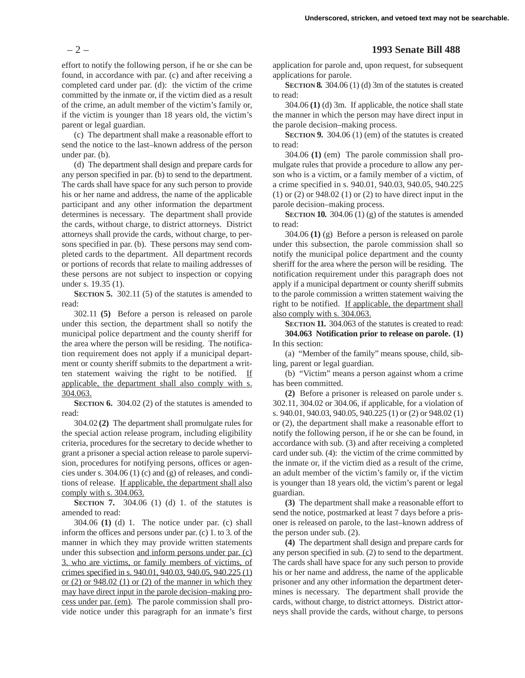effort to notify the following person, if he or she can be found, in accordance with par. (c) and after receiving a completed card under par. (d): the victim of the crime committed by the inmate or, if the victim died as a result of the crime, an adult member of the victim's family or, if the victim is younger than 18 years old, the victim's parent or legal guardian.

(c) The department shall make a reasonable effort to send the notice to the last–known address of the person under par. (b).

(d) The department shall design and prepare cards for any person specified in par. (b) to send to the department. The cards shall have space for any such person to provide his or her name and address, the name of the applicable participant and any other information the department determines is necessary. The department shall provide the cards, without charge, to district attorneys. District attorneys shall provide the cards, without charge, to persons specified in par. (b). These persons may send completed cards to the department. All department records or portions of records that relate to mailing addresses of these persons are not subject to inspection or copying under s. 19.35 (1).

**SECTION 5.** 302.11 (5) of the statutes is amended to read:

302.11 **(5)** Before a person is released on parole under this section, the department shall so notify the municipal police department and the county sheriff for the area where the person will be residing. The notification requirement does not apply if a municipal department or county sheriff submits to the department a written statement waiving the right to be notified. If applicable, the department shall also comply with s. 304.063.

**SECTION 6.** 304.02 (2) of the statutes is amended to read:

304.02 **(2)** The department shall promulgate rules for the special action release program, including eligibility criteria, procedures for the secretary to decide whether to grant a prisoner a special action release to parole supervision, procedures for notifying persons, offices or agencies under s. 304.06 (1) (c) and (g) of releases, and conditions of release. If applicable, the department shall also comply with s. 304.063.

**SECTION 7.** 304.06 (1) (d) 1. of the statutes is amended to read:

304.06 **(1)** (d) 1. The notice under par. (c) shall inform the offices and persons under par. (c) 1. to 3. of the manner in which they may provide written statements under this subsection and inform persons under par. (c) 3. who are victims, or family members of victims, of crimes specified in s. 940.01, 940.03, 940.05, 940.225 (1) or  $(2)$  or  $948.02$   $(1)$  or  $(2)$  of the manner in which they may have direct input in the parole decision–making process under par. (em). The parole commission shall provide notice under this paragraph for an inmate's first

### – 2 – **1993 Senate Bill 488**

application for parole and, upon request, for subsequent applications for parole.

**SECTION 8.** 304.06 (1) (d) 3m of the statutes is created to read:

304.06 **(1)** (d) 3m. If applicable, the notice shall state the manner in which the person may have direct input in the parole decision–making process.

**SECTION 9.** 304.06 (1) (em) of the statutes is created to read:

304.06 **(1)** (em) The parole commission shall promulgate rules that provide a procedure to allow any person who is a victim, or a family member of a victim, of a crime specified in s. 940.01, 940.03, 940.05, 940.225 (1) or (2) or 948.02 (1) or (2) to have direct input in the parole decision–making process.

**SECTION 10.**  $304.06(1)(g)$  of the statutes is amended to read:

304.06 **(1)** (g) Before a person is released on parole under this subsection, the parole commission shall so notify the municipal police department and the county sheriff for the area where the person will be residing. The notification requirement under this paragraph does not apply if a municipal department or county sheriff submits to the parole commission a written statement waiving the right to be notified. If applicable, the department shall also comply with s. 304.063.

**SECTION 11.** 304.063 of the statutes is created to read: **304.063 Notification prior to release on parole. (1)** In this section:

(a) "Member of the family" means spouse, child, sibling, parent or legal guardian.

(b) "Victim" means a person against whom a crime has been committed.

**(2)** Before a prisoner is released on parole under s. 302.11, 304.02 or 304.06, if applicable, for a violation of s. 940.01, 940.03, 940.05, 940.225 (1) or (2) or 948.02 (1) or (2), the department shall make a reasonable effort to notify the following person, if he or she can be found, in accordance with sub. (3) and after receiving a completed card under sub. (4): the victim of the crime committed by the inmate or, if the victim died as a result of the crime, an adult member of the victim's family or, if the victim is younger than 18 years old, the victim's parent or legal guardian.

**(3)** The department shall make a reasonable effort to send the notice, postmarked at least 7 days before a prisoner is released on parole, to the last–known address of the person under sub. (2).

**(4)** The department shall design and prepare cards for any person specified in sub. (2) to send to the department. The cards shall have space for any such person to provide his or her name and address, the name of the applicable prisoner and any other information the department determines is necessary. The department shall provide the cards, without charge, to district attorneys. District attorneys shall provide the cards, without charge, to persons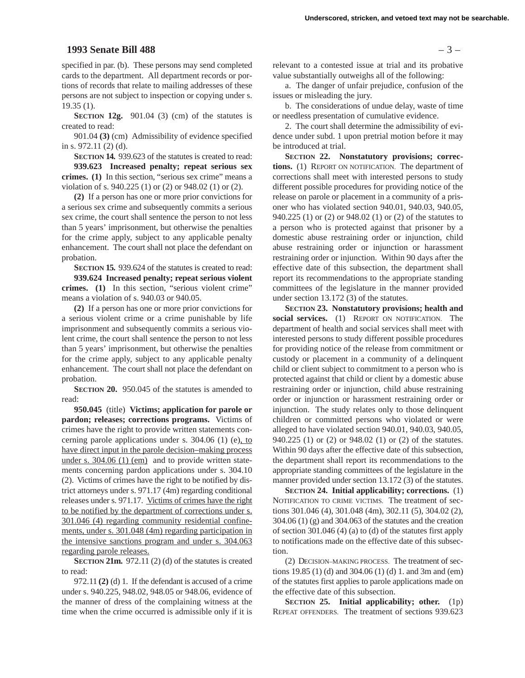### **1993 Senate Bill 488** – 3 –

specified in par. (b). These persons may send completed cards to the department. All department records or portions of records that relate to mailing addresses of these persons are not subject to inspection or copying under s. 19.35 (1).

**SECTION 12g.** 901.04 (3) (cm) of the statutes is created to read:

901.04 **(3)** (cm) Admissibility of evidence specified in s. 972.11 (2) (d).

**SECTION 14.** 939.623 of the statutes is created to read: **939.623 Increased penalty; repeat serious sex crimes. (1)** In this section, "serious sex crime" means a violation of s. 940.225 (1) or (2) or 948.02 (1) or (2).

**(2)** If a person has one or more prior convictions for a serious sex crime and subsequently commits a serious sex crime, the court shall sentence the person to not less than 5 years' imprisonment, but otherwise the penalties for the crime apply, subject to any applicable penalty enhancement. The court shall not place the defendant on probation.

**SECTION 15.** 939.624 of the statutes is created to read: **939.624 Increased penalty; repeat serious violent**

**crimes. (1)** In this section, "serious violent crime" means a violation of s. 940.03 or 940.05.

**(2)** If a person has one or more prior convictions for a serious violent crime or a crime punishable by life imprisonment and subsequently commits a serious violent crime, the court shall sentence the person to not less than 5 years' imprisonment, but otherwise the penalties for the crime apply, subject to any applicable penalty enhancement. The court shall not place the defendant on probation.

**SECTION 20.** 950.045 of the statutes is amended to read:

**950.045** (title) **Victims; application for parole or pardon; releases; corrections programs.** Victims of crimes have the right to provide written statements concerning parole applications under s. 304.06 (1) (e), to have direct input in the parole decision–making process under s. 304.06 (1) (em) and to provide written statements concerning pardon applications under s. 304.10 (2). Victims of crimes have the right to be notified by district attorneys under s. 971.17 (4m) regarding conditional releases under s. 971.17. Victims of crimes have the right to be notified by the department of corrections under s. 301.046 (4) regarding community residential confinements, under s. 301.048 (4m) regarding participation in the intensive sanctions program and under s. 304.063 regarding parole releases.

**SECTION 21m.** 972.11 (2) (d) of the statutes is created to read:

972.11 **(2)** (d) 1. If the defendant is accused of a crime under s. 940.225, 948.02, 948.05 or 948.06, evidence of the manner of dress of the complaining witness at the time when the crime occurred is admissible only if it is

relevant to a contested issue at trial and its probative value substantially outweighs all of the following:

a. The danger of unfair prejudice, confusion of the issues or misleading the jury.

b. The considerations of undue delay, waste of time or needless presentation of cumulative evidence.

2. The court shall determine the admissibility of evidence under subd. 1 upon pretrial motion before it may be introduced at trial.

**SECTION 22. Nonstatutory provisions; corrections.** (1) REPORT ON NOTIFICATION. The department of corrections shall meet with interested persons to study different possible procedures for providing notice of the release on parole or placement in a community of a prisoner who has violated section 940.01, 940.03, 940.05, 940.225 (1) or (2) or 948.02 (1) or (2) of the statutes to a person who is protected against that prisoner by a domestic abuse restraining order or injunction, child abuse restraining order or injunction or harassment restraining order or injunction. Within 90 days after the effective date of this subsection, the department shall report its recommendations to the appropriate standing committees of the legislature in the manner provided under section 13.172 (3) of the statutes.

**SECTION 23. Nonstatutory provisions; health and social services.** (1) REPORT ON NOTIFICATION. The department of health and social services shall meet with interested persons to study different possible procedures for providing notice of the release from commitment or custody or placement in a community of a delinquent child or client subject to commitment to a person who is protected against that child or client by a domestic abuse restraining order or injunction, child abuse restraining order or injunction or harassment restraining order or injunction. The study relates only to those delinquent children or committed persons who violated or were alleged to have violated section 940.01, 940.03, 940.05, 940.225 (1) or (2) or 948.02 (1) or (2) of the statutes. Within 90 days after the effective date of this subsection, the department shall report its recommendations to the appropriate standing committees of the legislature in the manner provided under section 13.172 (3) of the statutes.

**SECTION 24. Initial applicability; corrections.** (1) NOTIFICATION TO CRIME VICTIMS. The treatment of sections 301.046 (4), 301.048 (4m), 302.11 (5), 304.02 (2), 304.06 (1) (g) and 304.063 of the statutes and the creation of section 301.046 (4) (a) to (d) of the statutes first apply to notifications made on the effective date of this subsection.

(2) DECISION–MAKING PROCESS. The treatment of sections 19.85 (1) (d) and 304.06 (1) (d) 1. and 3m and (em) of the statutes first applies to parole applications made on the effective date of this subsection.

**SECTION 25. Initial applicability; other.** (1p) REPEAT OFFENDERS. The treatment of sections 939.623